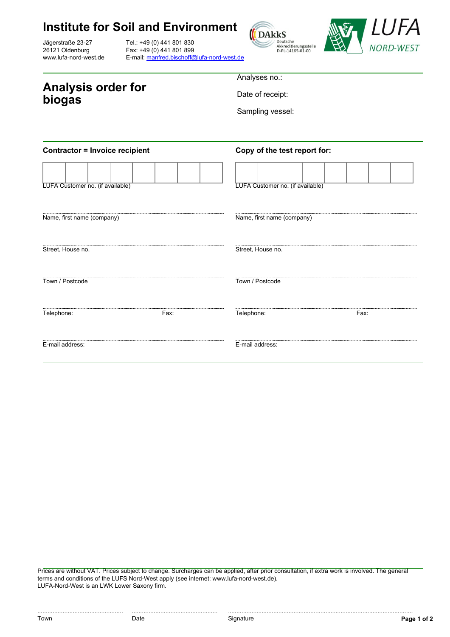Jägerstraße 23-27 26121 Oldenburg www.lufa-nord-west.de

Tel.: +49 (0) 441 801 830 Fax: +49 (0) 441 801 899 E-mail: [manfred.bischoff@lufa-nord-west.de](mailto:manfred.bischoff@lufa-nord-west.de)





**Analysis order for biogas**

Analyses no.:

Date of receipt:

Sampling vessel:

| <b>Contractor = Invoice recipient</b> |      | Copy of the test report for:     |      |  |
|---------------------------------------|------|----------------------------------|------|--|
| LUFA Customer no. (if available)      |      | LUFA Customer no. (if available) |      |  |
| Name, first name (company)            |      | Name, first name (company)       |      |  |
| Street, House no.                     |      | Street, House no.                |      |  |
| Town / Postcode                       |      | Town / Postcode                  |      |  |
| Telephone:                            | Fax: | Telephone:                       | Fax: |  |
| E-mail address:                       |      | E-mail address:                  |      |  |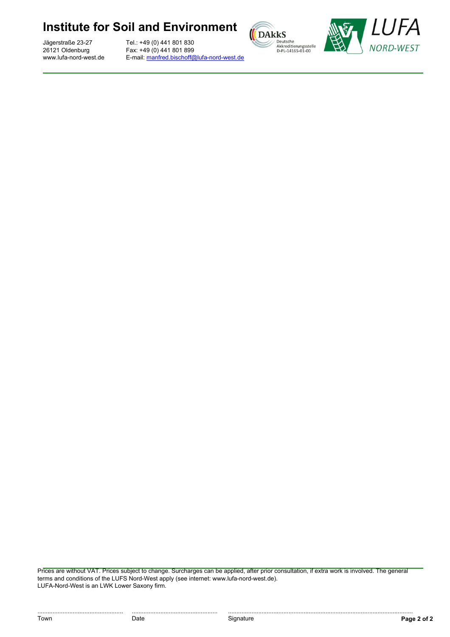Jägerstraße 23-27 26121 Oldenburg www.lufa-nord-west.de

Tel.: +49 (0) 441 801 830 Fax: +49 (0) 441 801 899 E-mail: [manfred.bischoff@lufa-nord-west.de](mailto:manfred.bischoff@lufa-nord-west.de)



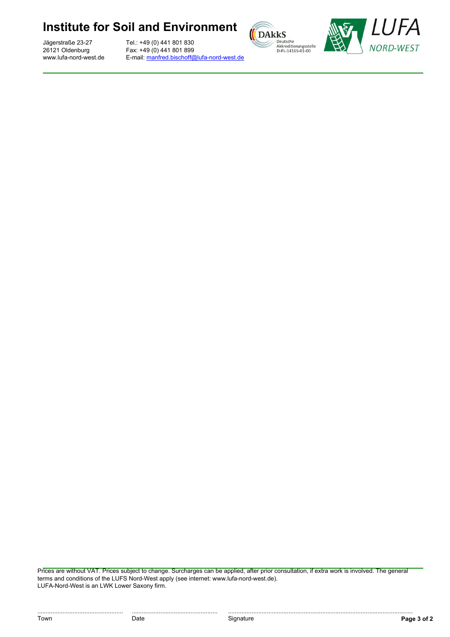Jägerstraße 23-27 26121 Oldenburg www.lufa-nord-west.de

Tel.: +49 (0) 441 801 830 Fax: +49 (0) 441 801 899 E-mail: [manfred.bischoff@lufa-nord-west.de](mailto:manfred.bischoff@lufa-nord-west.de)



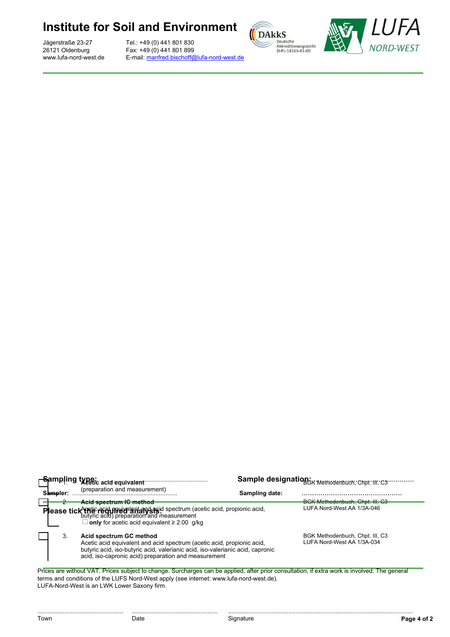Jägerstraße 23-27 26121 Oldenburg www.lufa-nord-west.de

Tel.: +49 (0) 441 801 830 Fax: +49 (0) 441 801 899 E-mail: [manfred.bischoff@lufa-nord-west.de](mailto:manfred.bischoff@lufa-nord-west.de)





|                                                                                                                                                                                                                                                                                         | Sampling type: acid equivalent minimum                                                                                                                                                                                                      |                | Sample designation: Methodenbuch; Chpt: III; C3               |  |  |
|-----------------------------------------------------------------------------------------------------------------------------------------------------------------------------------------------------------------------------------------------------------------------------------------|---------------------------------------------------------------------------------------------------------------------------------------------------------------------------------------------------------------------------------------------|----------------|---------------------------------------------------------------|--|--|
| Sampler:                                                                                                                                                                                                                                                                                | (preparation and measurement)                                                                                                                                                                                                               | Sampling date: |                                                               |  |  |
| $\overline{\phantom{a}}$                                                                                                                                                                                                                                                                | Acid spectrum IC method<br>Please tick trick reid muivelent and acid spectrum (acetic acid, propionic acid, butyric acid) preparation and measurement<br>$\Box$ only for acetic acid equivalent $\geq 2.00$ g/kg                            |                | BGK Methodenbuch, Chpt. III, C3<br>LUFA Nord-West AA 1/3A-046 |  |  |
| 3.                                                                                                                                                                                                                                                                                      | Acid spectrum GC method<br>Acetic acid equivalent and acid spectrum (acetic acid, propionic acid,<br>butyric acid, iso-butyric acid, valerianic acid, iso-valerianic acid, capronic<br>acid, iso-capronic acid) preparation and measurement |                | BGK Methodenbuch, Chpt. III, C3<br>LUFA Nord-West AA 1/3A-034 |  |  |
| Prices are without VAT. Prices subject to change. Surcharges can be applied, after prior consultation, if extra work is involved. The general<br>terms and conditions of the LUFS Nord-West apply (see internet: www.lufa-nord-west.de).<br>LUFA-Nord-West is an LWK Lower Saxony firm. |                                                                                                                                                                                                                                             |                |                                                               |  |  |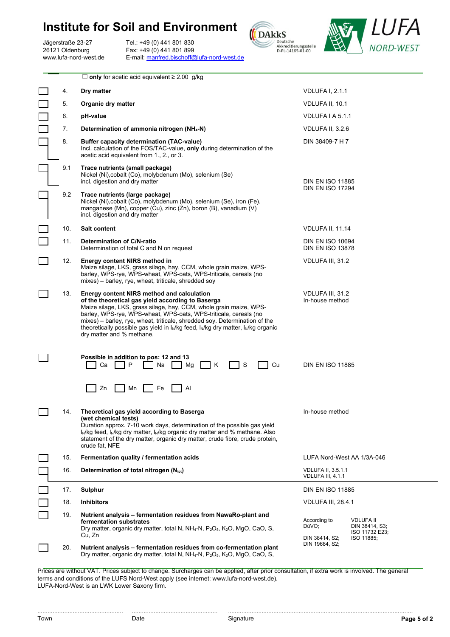Jägerstraße 23-27 26121 Oldenburg www.lufa-nord-west.de

Tel.: +49 (0) 441 801 830 Fax: +49 (0) 441 801 899 E-mail: [manfred.bischoff@lufa-nord-west.de](mailto:manfred.bischoff@lufa-nord-west.de)





|            | $\Box$ only for acetic acid equivalent $\geq 2.00$ g/kg                                                                                                                                                                                                                                                                                                                                                                                                                               |                                                                                                               |  |
|------------|---------------------------------------------------------------------------------------------------------------------------------------------------------------------------------------------------------------------------------------------------------------------------------------------------------------------------------------------------------------------------------------------------------------------------------------------------------------------------------------|---------------------------------------------------------------------------------------------------------------|--|
| 4.         | Dry matter                                                                                                                                                                                                                                                                                                                                                                                                                                                                            | <b>VDLUFA I, 2.1.1</b>                                                                                        |  |
| 5.         | <b>Organic dry matter</b>                                                                                                                                                                                                                                                                                                                                                                                                                                                             | VDLUFA II, 10.1                                                                                               |  |
| 6.         | pH-value                                                                                                                                                                                                                                                                                                                                                                                                                                                                              | VDLUFA I A 5.1.1                                                                                              |  |
| 7.         | Determination of ammonia nitrogen (NH <sub>4</sub> -N)                                                                                                                                                                                                                                                                                                                                                                                                                                | VDLUFA II, 3.2.6                                                                                              |  |
| 8.         | Buffer capacity determination (TAC-value)<br>Incl. calculation of the FOS/TAC-value, only during determination of the<br>acetic acid equivalent from 1., 2., or 3.                                                                                                                                                                                                                                                                                                                    | DIN 38409-7 H 7                                                                                               |  |
| 9.1<br>9.2 | Trace nutrients (small package)<br>Nickel (Ni), cobalt (Co), molybdenum (Mo), selenium (Se)<br>incl. digestion and dry matter<br>Trace nutrients (large package)                                                                                                                                                                                                                                                                                                                      | <b>DIN EN ISO 11885</b><br><b>DIN EN ISO 17294</b>                                                            |  |
|            | Nickel (Ni), cobalt (Co), molybdenum (Mo), selenium (Se), iron (Fe),<br>manganese (Mn), copper (Cu), zinc (Zn), boron (B), vanadium (V)<br>incl. digestion and dry matter                                                                                                                                                                                                                                                                                                             |                                                                                                               |  |
| 10.        | Salt content                                                                                                                                                                                                                                                                                                                                                                                                                                                                          | VDLUFA II, 11.14                                                                                              |  |
| 11.        | Determination of C/N-ratio<br>Determination of total C and N on request                                                                                                                                                                                                                                                                                                                                                                                                               | <b>DIN EN ISO 10694</b><br><b>DIN EN ISO 13878</b>                                                            |  |
| 12.        | Energy content NIRS method in<br>Maize silage, LKS, grass silage, hay, CCM, whole grain maize, WPS-<br>barley, WPS-rye, WPS-wheat, WPS-oats, WPS-triticale, cereals (no<br>mixes) – barley, rye, wheat, triticale, shredded soy                                                                                                                                                                                                                                                       | VDLUFA III, 31.2                                                                                              |  |
| 13.        | <b>Energy content NIRS method and calculation</b><br>of the theoretical gas yield according to Baserga<br>Maize silage, LKS, grass silage, hay, CCM, whole grain maize, WPS-<br>barley, WPS-rye, WPS-wheat, WPS-oats, WPS-triticale, cereals (no<br>mixes) - barley, rye, wheat, triticale, shredded soy. Determination of the<br>theoretically possible gas yield in I <sub>N</sub> /kg feed, I <sub>N</sub> /kg dry matter, I <sub>N</sub> /kg organic<br>dry matter and % methane. | VDLUFA III, 31.2<br>In-house method                                                                           |  |
|            | Possible in addition to pos: 12 and 13<br>Ca<br>P<br>S<br>Cu<br>Na<br>Mg<br>Κ                                                                                                                                                                                                                                                                                                                                                                                                         | <b>DIN EN ISO 11885</b>                                                                                       |  |
|            | Zn<br>Fe<br>Mn<br>Al                                                                                                                                                                                                                                                                                                                                                                                                                                                                  |                                                                                                               |  |
|            | Theoretical gas yield according to Baserga<br>(wet chemical tests)<br>Duration approx. 7-10 work days, determination of the possible gas yield<br>l <sub>y</sub> /kg feed, l <sub>y</sub> /kg dry matter, l <sub>y</sub> /kg organic dry matter and % methane. Also<br>statement of the dry matter, organic dry matter, crude fibre, crude protein,<br>crude fat, NFE                                                                                                                 | In-house method                                                                                               |  |
| 15.        | Fermentation quality / fermentation acids                                                                                                                                                                                                                                                                                                                                                                                                                                             | LUFA Nord-West AA 1/3A-046                                                                                    |  |
| 16.        | Determination of total nitrogen (N <sub>tot</sub> )                                                                                                                                                                                                                                                                                                                                                                                                                                   | <b>VDLUFA II, 3.5.1.1</b><br>VDLUFA III, 4.1.1                                                                |  |
| 17.        | Sulphur                                                                                                                                                                                                                                                                                                                                                                                                                                                                               | <b>DIN EN ISO 11885</b>                                                                                       |  |
| 18.        | <b>Inhibitors</b>                                                                                                                                                                                                                                                                                                                                                                                                                                                                     | VDLUFA III, 28.4.1                                                                                            |  |
| 19.        | Nutrient analysis - fermentation residues from NawaRo-plant and<br>fermentation substrates<br>Dry matter, organic dry matter, total N, NH <sub>4</sub> -N, P <sub>2</sub> O <sub>5</sub> , K <sub>2</sub> O, MgO, CaO, S,<br>Cu, Zn                                                                                                                                                                                                                                                   | According to<br><b>VDLUFA II</b><br>DüVO;<br>DIN 38414, S3;<br>ISO 11732 E23;<br>DIN 38414, S2;<br>ISO 11885; |  |
| 20.        | Nutrient analysis - fermentation residues from co-fermentation plant<br>Dry matter, organic dry matter, total N, NH <sub>4</sub> -N, P <sub>2</sub> O <sub>5</sub> , K <sub>2</sub> O, MgO, CaO, S,                                                                                                                                                                                                                                                                                   | DIN 19684, S2;                                                                                                |  |